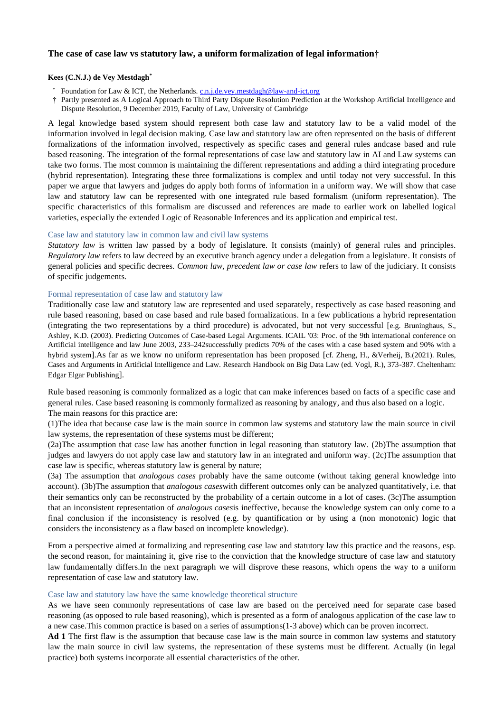# **The case of case law vs statutory law, a uniform formalization of legal information†**

### **Kees (C.N.J.) de Vey Mestdagh\***

- Foundation for Law & ICT, the Netherlands. [c.n.j.de.vey.mestdagh@law-and-ict.org](mailto:c.n.j.de.vey.mestdagh@law-and-ict.org)
- † Partly presented as A Logical Approach to Third Party Dispute Resolution Prediction at the Workshop Artificial Intelligence and Dispute Resolution, 9 December 2019, Faculty of Law, University of Cambridge

A legal knowledge based system should represent both case law and statutory law to be a valid model of the information involved in legal decision making. Case law and statutory law are often represented on the basis of different formalizations of the information involved, respectively as specific cases and general rules andcase based and rule based reasoning. The integration of the formal representations of case law and statutory law in AI and Law systems can take two forms. The most common is maintaining the different representations and adding a third integrating procedure (hybrid representation). Integrating these three formalizations is complex and until today not very successful. In this paper we argue that lawyers and judges do apply both forms of information in a uniform way. We will show that case law and statutory law can be represented with one integrated rule based formalism (uniform representation). The specific characteristics of this formalism are discussed and references are made to earlier work on labelled logical varieties, especially the extended Logic of Reasonable Inferences and its application and empirical test.

### Case law and statutory law in common law and civil law systems

*Statutory law* is written law passed by a body of legislature. It consists (mainly) of general rules and principles. *Regulatory law* refers to law decreed by an executive branch agency under a delegation from a legislature. It consists of general policies and specific decrees. *Common law, precedent law or case law* refers to law of the judiciary. It consists of specific judgements.

### Formal representation of case law and statutory law

Traditionally case law and statutory law are represented and used separately, respectively as case based reasoning and rule based reasoning, based on case based and rule based formalizations. In a few publications a hybrid representation (integrating the two representations by a third procedure) is advocated, but not very successful [e.g. Bruninghaus, S., Ashley, K.D. (2003). Predicting Outcomes of Case-based Legal Arguments. ICAIL '03: Proc. of the 9th international conference on Artificial intelligence and law June 2003, 233–242successfully predicts 70% of the cases with a case based system and 90% with a hybrid system].As far as we know no uniform representation has been proposed [cf. Zheng, H., &Verheij, B.(2021). Rules, Cases and Arguments in Artificial Intelligence and Law. Research Handbook on Big Data Law (ed. Vogl, R.), 373-387. Cheltenham: Edgar Elgar Publishing].

Rule based reasoning is commonly formalized as a logic that can make inferences based on facts of a specific case and general rules. Case based reasoning is commonly formalized as reasoning by analogy, and thus also based on a logic. The main reasons for this practice are:

(1)The idea that because case law is the main source in common law systems and statutory law the main source in civil law systems, the representation of these systems must be different;

(2a)The assumption that case law has another function in legal reasoning than statutory law. (2b)The assumption that judges and lawyers do not apply case law and statutory law in an integrated and uniform way. (2c)The assumption that case law is specific, whereas statutory law is general by nature;

(3a) The assumption that *analogous cases* probably have the same outcome (without taking general knowledge into account). (3b)The assumption that *analogous cases*with different outcomes only can be analyzed quantitatively, i.e. that their semantics only can be reconstructed by the probability of a certain outcome in a lot of cases. (3c)The assumption that an inconsistent representation of *analogous cases*is ineffective, because the knowledge system can only come to a final conclusion if the inconsistency is resolved (e.g. by quantification or by using a (non monotonic) logic that considers the inconsistency as a flaw based on incomplete knowledge).

From a perspective aimed at formalizing and representing case law and statutory law this practice and the reasons, esp. the second reason, for maintaining it, give rise to the conviction that the knowledge structure of case law and statutory law fundamentally differs.In the next paragraph we will disprove these reasons, which opens the way to a uniform representation of case law and statutory law.

### Case law and statutory law have the same knowledge theoretical structure

As we have seen commonly representations of case law are based on the perceived need for separate case based reasoning (as opposed to rule based reasoning), which is presented as a form of analogous application of the case law to a new case.This common practice is based on a series of assumptions(1-3 above) which can be proven incorrect.

**Ad 1** The first flaw is the assumption that because case law is the main source in common law systems and statutory law the main source in civil law systems, the representation of these systems must be different. Actually (in legal practice) both systems incorporate all essential characteristics of the other.